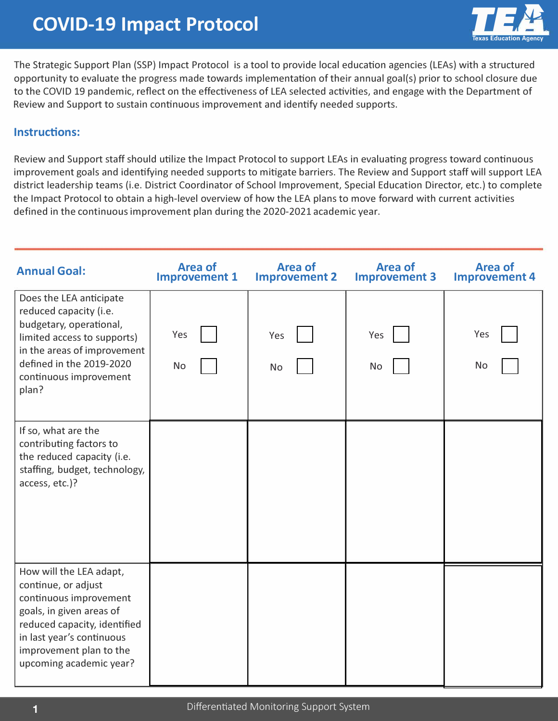

The Strategic Support Plan (SSP) Impact Protocol is a tool to provide local education agencies (LEAs) with a structured opportunity to evaluate the progress made towards implementation of their annual goal(s) prior to school closure due to the COVID 19 pandemic, reflect on the effectiveness of LEA selected activities, and engage with the Department of Review and Support to sustain continuous improvement and identify needed supports.

## **Instructions:**

Review and Support staff should utilize the Impact Protocol to support LEAs in evaluating progress toward continuous improvement goals and identifying needed supports to mitigate barriers. The Review and Support staff will support LEA district leadership teams (i.e. District Coordinator of School Improvement, Special Education Director, etc.) to complete the Impact Protocol to obtain a high-level overview of how the LEA plans to move forward with current activities defined in the continuous improvement plan during the 2020-2021 academic year.

| <b>Annual Goal:</b>                                                                                                                                                                                                     | <b>Area of</b><br><b>Improvement 1</b> | <b>Area of</b><br><b>Improvement 2</b> | <b>Area of</b><br><b>Improvement 3</b> | <b>Area of</b><br><b>Improvement 4</b> |
|-------------------------------------------------------------------------------------------------------------------------------------------------------------------------------------------------------------------------|----------------------------------------|----------------------------------------|----------------------------------------|----------------------------------------|
| Does the LEA anticipate<br>reduced capacity (i.e.<br>budgetary, operational,<br>limited access to supports)<br>in the areas of improvement<br>defined in the 2019-2020<br>continuous improvement<br>plan?               | Yes<br>No                              | Yes<br><b>No</b>                       | Yes<br>No                              | Yes<br>No                              |
| If so, what are the<br>contributing factors to<br>the reduced capacity (i.e.<br>staffing, budget, technology,<br>access, etc.)?                                                                                         |                                        |                                        |                                        |                                        |
| How will the LEA adapt,<br>continue, or adjust<br>continuous improvement<br>goals, in given areas of<br>reduced capacity, identified<br>in last year's continuous<br>improvement plan to the<br>upcoming academic year? |                                        |                                        |                                        |                                        |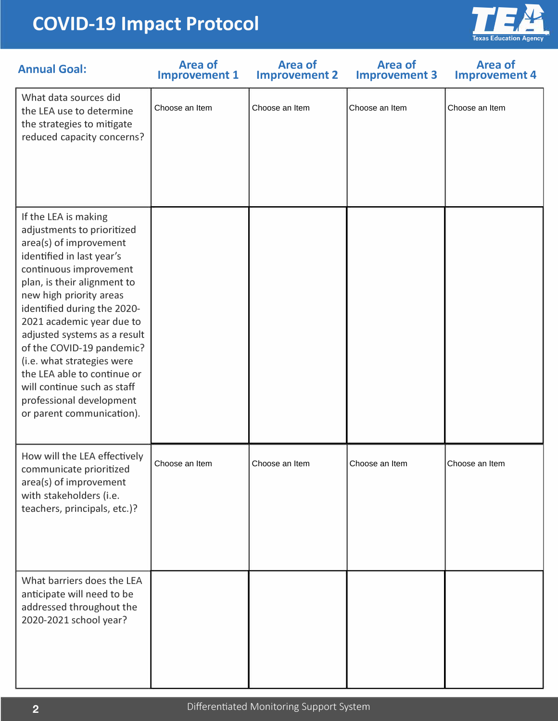## **COVID-19 Impact Protocol**



| <b>Annual Goal:</b>                                                                                                                                                                                                                                                                                                                                                                                                                                                         | <b>Area of</b><br><b>Improvement 1</b> | <b>Area of</b><br><b>Improvement 2</b> | <b>Area of</b><br><b>Improvement 3</b> | <b>Area of</b><br><b>Improvement 4</b> |  |  |
|-----------------------------------------------------------------------------------------------------------------------------------------------------------------------------------------------------------------------------------------------------------------------------------------------------------------------------------------------------------------------------------------------------------------------------------------------------------------------------|----------------------------------------|----------------------------------------|----------------------------------------|----------------------------------------|--|--|
| What data sources did<br>the LEA use to determine<br>the strategies to mitigate<br>reduced capacity concerns?                                                                                                                                                                                                                                                                                                                                                               | Choose an Item                         | Choose an Item                         | Choose an Item                         | Choose an Item                         |  |  |
| If the LEA is making<br>adjustments to prioritized<br>area(s) of improvement<br>identified in last year's<br>continuous improvement<br>plan, is their alignment to<br>new high priority areas<br>identified during the 2020-<br>2021 academic year due to<br>adjusted systems as a result<br>of the COVID-19 pandemic?<br>(i.e. what strategies were<br>the LEA able to continue or<br>will continue such as staff<br>professional development<br>or parent communication). |                                        |                                        |                                        |                                        |  |  |
| How will the LEA effectively<br>communicate prioritized<br>area(s) of improvement<br>with stakeholders (i.e.<br>teachers, principals, etc.)?                                                                                                                                                                                                                                                                                                                                | Choose an Item                         | Choose an Item                         | Choose an Item                         | Choose an Item                         |  |  |
| What barriers does the LEA<br>anticipate will need to be<br>addressed throughout the<br>2020-2021 school year?                                                                                                                                                                                                                                                                                                                                                              |                                        |                                        |                                        |                                        |  |  |
| Differentiated Monitoring Support System<br>$\overline{2}$                                                                                                                                                                                                                                                                                                                                                                                                                  |                                        |                                        |                                        |                                        |  |  |